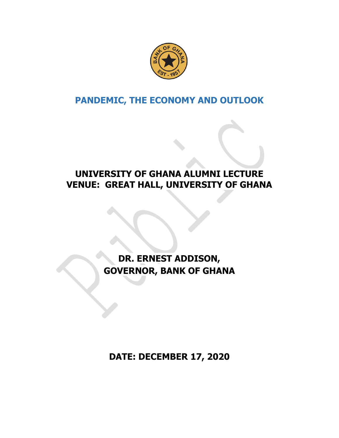

# **PANDEMIC, THE ECONOMY AND OUTLOOK**

### **UNIVERSITY OF GHANA ALUMNI LECTURE VENUE: GREAT HALL, UNIVERSITY OF GHANA**

# **DR. ERNEST ADDISON, GOVERNOR, BANK OF GHANA**

**DATE: DECEMBER 17, 2020**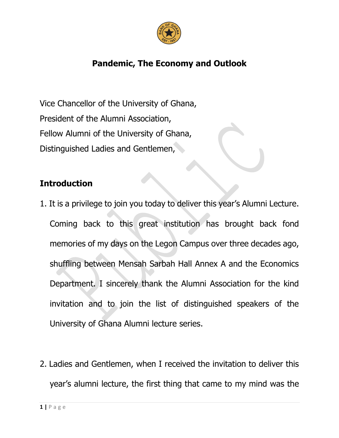

## **Pandemic, The Economy and Outlook**

Vice Chancellor of the University of Ghana, President of the Alumni Association, Fellow Alumni of the University of Ghana, Distinguished Ladies and Gentlemen,

### **Introduction**

- 1. It is a privilege to join you today to deliver this year's Alumni Lecture. Coming back to this great institution has brought back fond memories of my days on the Legon Campus over three decades ago, shuffling between Mensah Sarbah Hall Annex A and the Economics Department. I sincerely thank the Alumni Association for the kind invitation and to join the list of distinguished speakers of the University of Ghana Alumni lecture series.
- 2. Ladies and Gentlemen, when I received the invitation to deliver this year's alumni lecture, the first thing that came to my mind was the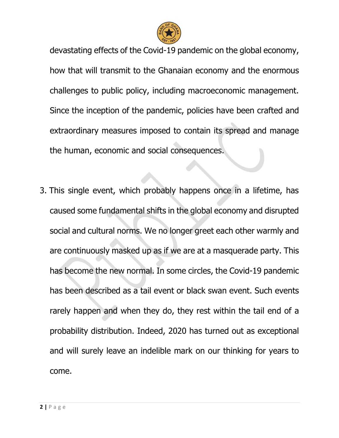

devastating effects of the Covid-19 pandemic on the global economy, how that will transmit to the Ghanaian economy and the enormous challenges to public policy, including macroeconomic management. Since the inception of the pandemic, policies have been crafted and extraordinary measures imposed to contain its spread and manage the human, economic and social consequences.

3. This single event, which probably happens once in a lifetime, has caused some fundamental shifts in the global economy and disrupted social and cultural norms. We no longer greet each other warmly and are continuously masked up as if we are at a masquerade party. This has become the new normal. In some circles, the Covid-19 pandemic has been described as a tail event or black swan event. Such events rarely happen and when they do, they rest within the tail end of a probability distribution. Indeed, 2020 has turned out as exceptional and will surely leave an indelible mark on our thinking for years to come.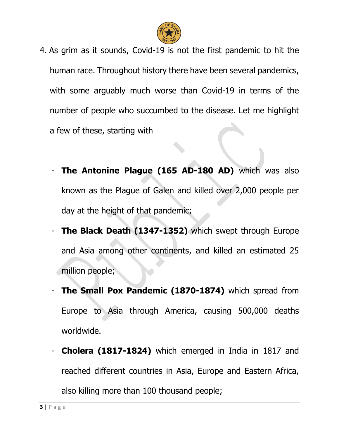

- 4. As grim as it sounds, Covid-19 is not the first pandemic to hit the human race. Throughout history there have been several pandemics, with some arguably much worse than Covid-19 in terms of the number of people who succumbed to the disease. Let me highlight a few of these, starting with
	- **The Antonine Plague (165 AD-180 AD)** which was also known as the Plague of Galen and killed over 2,000 people per day at the height of that pandemic;
	- **The Black Death (1347-1352)** which swept through Europe and Asia among other continents, and killed an estimated 25 million people;
	- **The Small Pox Pandemic (1870-1874)** which spread from Europe to Asia through America, causing 500,000 deaths worldwide.
	- **Cholera (1817-1824)** which emerged in India in 1817 and reached different countries in Asia, Europe and Eastern Africa, also killing more than 100 thousand people;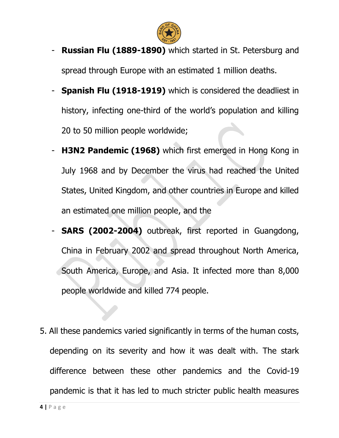

- **Russian Flu (1889-1890)** which started in St. Petersburg and spread through Europe with an estimated 1 million deaths.
- **Spanish Flu (1918-1919)** which is considered the deadliest in history, infecting one-third of the world's population and killing 20 to 50 million people worldwide;
- **H3N2 Pandemic (1968)** which first emerged in Hong Kong in July 1968 and by December the virus had reached the United States, United Kingdom, and other countries in Europe and killed an estimated one million people, and the
- **SARS (2002-2004)** outbreak, first reported in Guangdong, China in February 2002 and spread throughout North America, South America, Europe, and Asia. It infected more than 8,000 people worldwide and killed 774 people.
- 5. All these pandemics varied significantly in terms of the human costs, depending on its severity and how it was dealt with. The stark difference between these other pandemics and the Covid-19 pandemic is that it has led to much stricter public health measures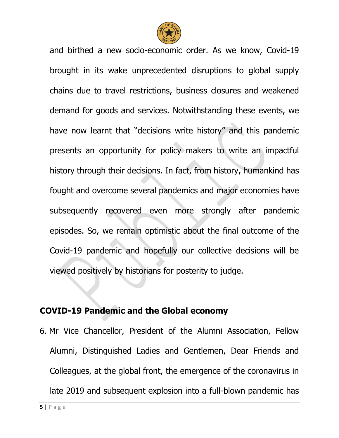

and birthed a new socio-economic order. As we know, Covid-19 brought in its wake unprecedented disruptions to global supply chains due to travel restrictions, business closures and weakened demand for goods and services. Notwithstanding these events, we have now learnt that "decisions write history" and this pandemic presents an opportunity for policy makers to write an impactful history through their decisions. In fact, from history, humankind has fought and overcome several pandemics and major economies have subsequently recovered even more strongly after pandemic episodes. So, we remain optimistic about the final outcome of the Covid-19 pandemic and hopefully our collective decisions will be viewed positively by historians for posterity to judge.

#### **COVID-19 Pandemic and the Global economy**

6. Mr Vice Chancellor, President of the Alumni Association, Fellow Alumni, Distinguished Ladies and Gentlemen, Dear Friends and Colleagues, at the global front, the emergence of the coronavirus in late 2019 and subsequent explosion into a full-blown pandemic has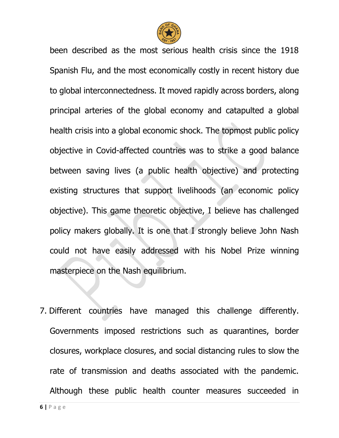

been described as the most serious health crisis since the 1918 Spanish Flu, and the most economically costly in recent history due to global interconnectedness. It moved rapidly across borders, along principal arteries of the global economy and catapulted a global health crisis into a global economic shock. The topmost public policy objective in Covid-affected countries was to strike a good balance between saving lives (a public health objective) and protecting existing structures that support livelihoods (an economic policy objective). This game theoretic objective, I believe has challenged policy makers globally. It is one that I strongly believe John Nash could not have easily addressed with his Nobel Prize winning masterpiece on the Nash equilibrium.

7. Different countries have managed this challenge differently. Governments imposed restrictions such as quarantines, border closures, workplace closures, and social distancing rules to slow the rate of transmission and deaths associated with the pandemic. Although these public health counter measures succeeded in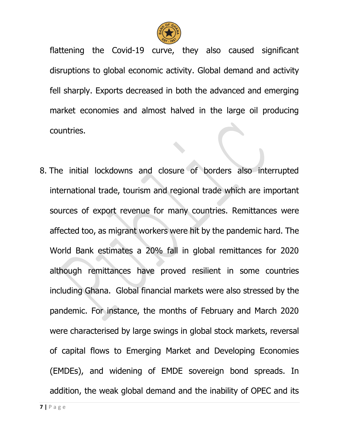

flattening the Covid-19 curve, they also caused significant disruptions to global economic activity. Global demand and activity fell sharply. Exports decreased in both the advanced and emerging market economies and almost halved in the large oil producing countries.

8. The initial lockdowns and closure of borders also interrupted international trade, tourism and regional trade which are important sources of export revenue for many countries. Remittances were affected too, as migrant workers were hit by the pandemic hard. The World Bank estimates a 20% fall in global remittances for 2020 although remittances have proved resilient in some countries including Ghana. Global financial markets were also stressed by the pandemic. For instance, the months of February and March 2020 were characterised by large swings in global stock markets, reversal of capital flows to Emerging Market and Developing Economies (EMDEs), and widening of EMDE sovereign bond spreads. In addition, the weak global demand and the inability of OPEC and its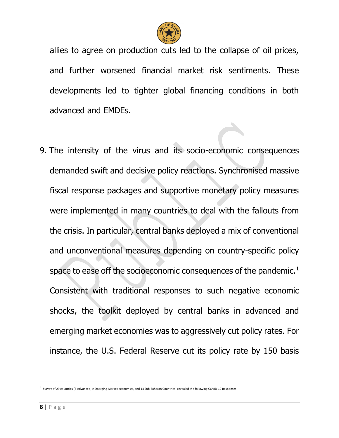

allies to agree on production cuts led to the collapse of oil prices, and further worsened financial market risk sentiments. These developments led to tighter global financing conditions in both advanced and EMDEs.

9. The intensity of the virus and its socio-economic consequences demanded swift and decisive policy reactions. Synchronised massive fiscal response packages and supportive monetary policy measures were implemented in many countries to deal with the fallouts from the crisis. In particular, central banks deployed a mix of conventional and unconventional measures depending on country-specific policy space to ease off the socioeconomic consequences of the pandemic. $<sup>1</sup>$ </sup> Consistent with traditional responses to such negative economic shocks, the toolkit deployed by central banks in advanced and emerging market economies was to aggressively cut policy rates. For instance, the U.S. Federal Reserve cut its policy rate by 150 basis

l

<sup>1</sup> Survey of 29 countries [6 Advanced, 9 Emerging Market economies, and 14 Sub-Saharan Countries] revealed the following COVID-19 Responses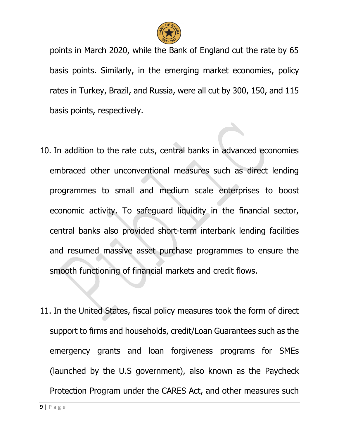

points in March 2020, while the Bank of England cut the rate by 65 basis points. Similarly, in the emerging market economies, policy rates in Turkey, Brazil, and Russia, were all cut by 300, 150, and 115 basis points, respectively.

- 10. In addition to the rate cuts, central banks in advanced economies embraced other unconventional measures such as direct lending programmes to small and medium scale enterprises to boost economic activity. To safeguard liquidity in the financial sector, central banks also provided short-term interbank lending facilities and resumed massive asset purchase programmes to ensure the smooth functioning of financial markets and credit flows.
- 11. In the United States, fiscal policy measures took the form of direct support to firms and households, credit/Loan Guarantees such as the emergency grants and loan forgiveness programs for SMEs (launched by the U.S government), also known as the Paycheck Protection Program under the CARES Act, and other measures such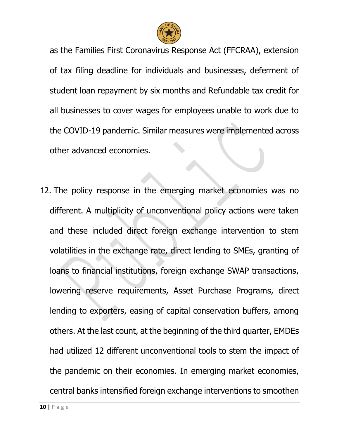

as the Families First Coronavirus Response Act (FFCRAA), extension of tax filing deadline for individuals and businesses, deferment of student loan repayment by six months and Refundable tax credit for all businesses to cover wages for employees unable to work due to the COVID-19 pandemic. Similar measures were implemented across other advanced economies.

12. The policy response in the emerging market economies was no different. A multiplicity of unconventional policy actions were taken and these included direct foreign exchange intervention to stem volatilities in the exchange rate, direct lending to SMEs, granting of loans to financial institutions, foreign exchange SWAP transactions, lowering reserve requirements, Asset Purchase Programs, direct lending to exporters, easing of capital conservation buffers, among others. At the last count, at the beginning of the third quarter, EMDEs had utilized 12 different unconventional tools to stem the impact of the pandemic on their economies. In emerging market economies, central banks intensified foreign exchange interventions to smoothen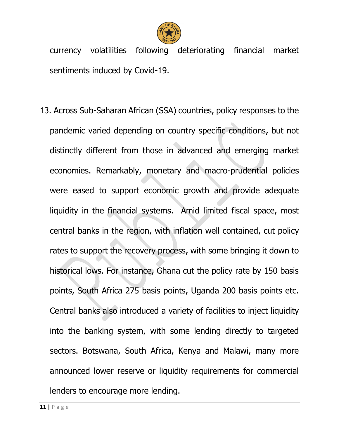

currency volatilities following deteriorating financial market sentiments induced by Covid-19.

13. Across Sub-Saharan African (SSA) countries, policy responses to the pandemic varied depending on country specific conditions, but not distinctly different from those in advanced and emerging market economies. Remarkably, monetary and macro-prudential policies were eased to support economic growth and provide adequate liquidity in the financial systems. Amid limited fiscal space, most central banks in the region, with inflation well contained, cut policy rates to support the recovery process, with some bringing it down to historical lows. For instance, Ghana cut the policy rate by 150 basis points, South Africa 275 basis points, Uganda 200 basis points etc. Central banks also introduced a variety of facilities to inject liquidity into the banking system, with some lending directly to targeted sectors. Botswana, South Africa, Kenya and Malawi, many more announced lower reserve or liquidity requirements for commercial lenders to encourage more lending.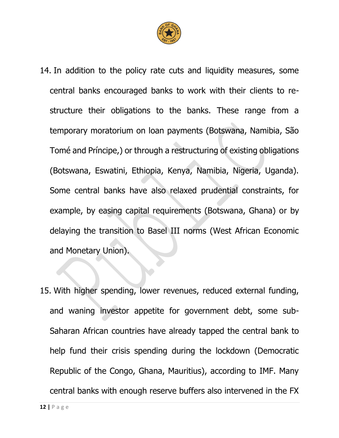

- 14. In addition to the policy rate cuts and liquidity measures, some central banks encouraged banks to work with their clients to restructure their obligations to the banks. These range from a temporary moratorium on loan payments (Botswana, Namibia, São Tomé and Príncipe,) or through a restructuring of existing obligations (Botswana, Eswatini, Ethiopia, Kenya, Namibia, Nigeria, Uganda). Some central banks have also relaxed prudential constraints, for example, by easing capital requirements (Botswana, Ghana) or by delaying the transition to Basel III norms (West African Economic and Monetary Union).
- 15. With higher spending, lower revenues, reduced external funding, and waning investor appetite for government debt, some sub-Saharan African countries have already tapped the central bank to help fund their crisis spending during the lockdown (Democratic Republic of the Congo, Ghana, Mauritius), according to IMF. Many central banks with enough reserve buffers also intervened in the FX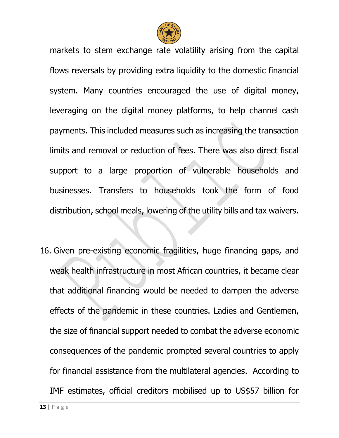

markets to stem exchange rate volatility arising from the capital flows reversals by providing extra liquidity to the domestic financial system. Many countries encouraged the use of digital money, leveraging on the digital money platforms, to help channel cash payments. This included measures such as increasing the transaction limits and removal or reduction of fees. There was also direct fiscal support to a large proportion of vulnerable households and businesses. Transfers to households took the form of food distribution, school meals, lowering of the utility bills and tax waivers.

16. Given pre-existing economic fragilities, huge financing gaps, and weak health infrastructure in most African countries, it became clear that additional financing would be needed to dampen the adverse effects of the pandemic in these countries. Ladies and Gentlemen, the size of financial support needed to combat the adverse economic consequences of the pandemic prompted several countries to apply for financial assistance from the multilateral agencies. According to IMF estimates, official creditors mobilised up to US\$57 billion for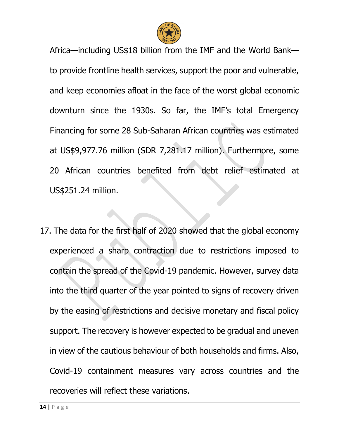

Africa—including US\$18 billion from the IMF and the World Bank to provide frontline health services, support the poor and vulnerable, and keep economies afloat in the face of the worst global economic downturn since the 1930s. So far, the IMF's total Emergency Financing for some 28 Sub-Saharan African countries was estimated at US\$9,977.76 million (SDR 7,281.17 million). Furthermore, some 20 African countries benefited from debt relief estimated at US\$251.24 million.

17. The data for the first half of 2020 showed that the global economy experienced a sharp contraction due to restrictions imposed to contain the spread of the Covid-19 pandemic. However, survey data into the third quarter of the year pointed to signs of recovery driven by the easing of restrictions and decisive monetary and fiscal policy support. The recovery is however expected to be gradual and uneven in view of the cautious behaviour of both households and firms. Also, Covid-19 containment measures vary across countries and the recoveries will reflect these variations.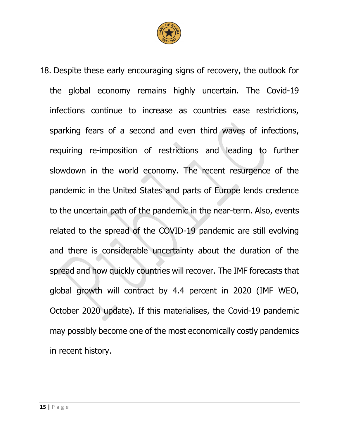

18. Despite these early encouraging signs of recovery, the outlook for the global economy remains highly uncertain. The Covid-19 infections continue to increase as countries ease restrictions, sparking fears of a second and even third waves of infections, requiring re-imposition of restrictions and leading to further slowdown in the world economy. The recent resurgence of the pandemic in the United States and parts of Europe lends credence to the uncertain path of the pandemic in the near-term. Also, events related to the spread of the COVID-19 pandemic are still evolving and there is considerable uncertainty about the duration of the spread and how quickly countries will recover. The IMF forecasts that global growth will contract by 4.4 percent in 2020 (IMF WEO, October 2020 update). If this materialises, the Covid-19 pandemic may possibly become one of the most economically costly pandemics in recent history.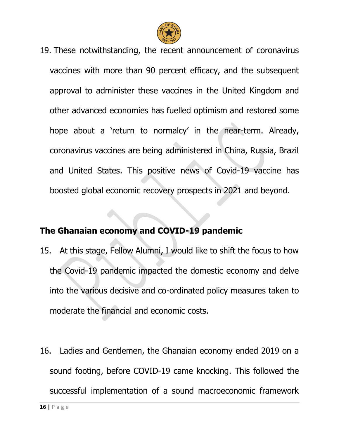

19. These notwithstanding, the recent announcement of coronavirus vaccines with more than 90 percent efficacy, and the subsequent approval to administer these vaccines in the United Kingdom and other advanced economies has fuelled optimism and restored some hope about a 'return to normalcy' in the near-term. Already, coronavirus vaccines are being administered in China, Russia, Brazil and United States. This positive news of Covid-19 vaccine has boosted global economic recovery prospects in 2021 and beyond.

#### **The Ghanaian economy and COVID-19 pandemic**

- 15. At this stage, Fellow Alumni, I would like to shift the focus to how the Covid-19 pandemic impacted the domestic economy and delve into the various decisive and co-ordinated policy measures taken to moderate the financial and economic costs.
- 16. Ladies and Gentlemen, the Ghanaian economy ended 2019 on a sound footing, before COVID-19 came knocking. This followed the successful implementation of a sound macroeconomic framework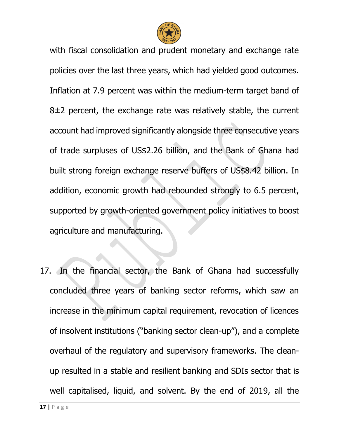

with fiscal consolidation and prudent monetary and exchange rate policies over the last three years, which had yielded good outcomes. Inflation at 7.9 percent was within the medium-term target band of  $8±2$  percent, the exchange rate was relatively stable, the current account had improved significantly alongside three consecutive years of trade surpluses of US\$2.26 billion, and the Bank of Ghana had built strong foreign exchange reserve buffers of US\$8.42 billion. In addition, economic growth had rebounded strongly to 6.5 percent, supported by growth-oriented government policy initiatives to boost agriculture and manufacturing.

17. In the financial sector, the Bank of Ghana had successfully concluded three years of banking sector reforms, which saw an increase in the minimum capital requirement, revocation of licences of insolvent institutions ("banking sector clean-up"), and a complete overhaul of the regulatory and supervisory frameworks. The cleanup resulted in a stable and resilient banking and SDIs sector that is well capitalised, liquid, and solvent. By the end of 2019, all the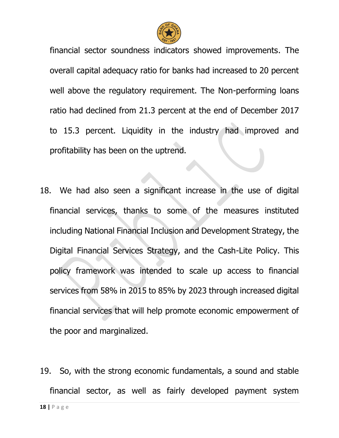

financial sector soundness indicators showed improvements. The overall capital adequacy ratio for banks had increased to 20 percent well above the regulatory requirement. The Non-performing loans ratio had declined from 21.3 percent at the end of December 2017 to 15.3 percent. Liquidity in the industry had improved and profitability has been on the uptrend.

- 18. We had also seen a significant increase in the use of digital financial services, thanks to some of the measures instituted including National Financial Inclusion and Development Strategy, the Digital Financial Services Strategy, and the Cash-Lite Policy. This policy framework was intended to scale up access to financial services from 58% in 2015 to 85% by 2023 through increased digital financial services that will help promote economic empowerment of the poor and marginalized.
- 19. So, with the strong economic fundamentals, a sound and stable financial sector, as well as fairly developed payment system

**18 |** P a g e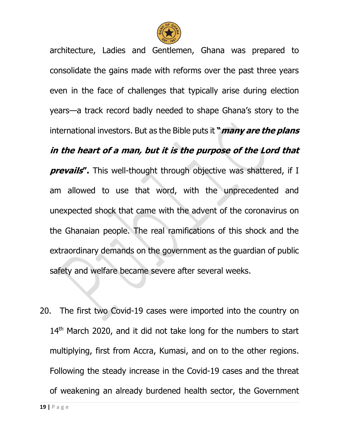

architecture, Ladies and Gentlemen, Ghana was prepared to consolidate the gains made with reforms over the past three years even in the face of challenges that typically arise during election years—a track record badly needed to shape Ghana's story to the international investors. But as the Bible puts it **"many are the plans in the heart of a man, but it is the purpose of the Lord that prevails''.** This well-thought through objective was shattered, if I am allowed to use that word, with the unprecedented and unexpected shock that came with the advent of the coronavirus on the Ghanaian people. The real ramifications of this shock and the extraordinary demands on the government as the guardian of public safety and welfare became severe after several weeks.

20. The first two Covid-19 cases were imported into the country on 14<sup>th</sup> March 2020, and it did not take long for the numbers to start multiplying, first from Accra, Kumasi, and on to the other regions. Following the steady increase in the Covid-19 cases and the threat of weakening an already burdened health sector, the Government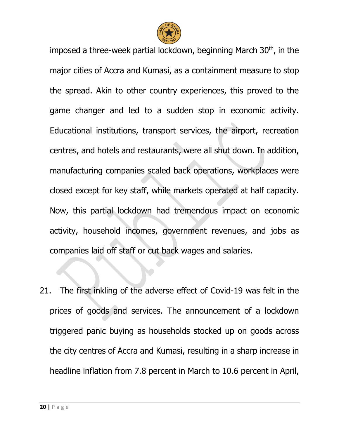

imposed a three-week partial lockdown, beginning March 30<sup>th</sup>, in the major cities of Accra and Kumasi, as a containment measure to stop the spread. Akin to other country experiences, this proved to the game changer and led to a sudden stop in economic activity. Educational institutions, transport services, the airport, recreation centres, and hotels and restaurants, were all shut down. In addition, manufacturing companies scaled back operations, workplaces were closed except for key staff, while markets operated at half capacity. Now, this partial lockdown had tremendous impact on economic activity, household incomes, government revenues, and jobs as companies laid off staff or cut back wages and salaries.

21. The first inkling of the adverse effect of Covid-19 was felt in the prices of goods and services. The announcement of a lockdown triggered panic buying as households stocked up on goods across the city centres of Accra and Kumasi, resulting in a sharp increase in headline inflation from 7.8 percent in March to 10.6 percent in April,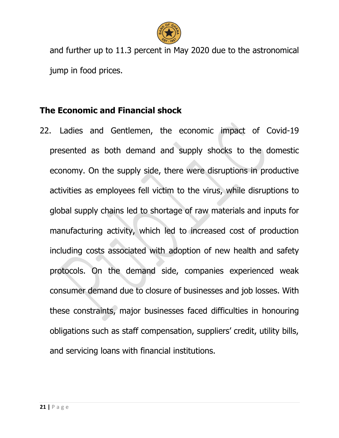

and further up to 11.3 percent in May 2020 due to the astronomical jump in food prices.

#### **The Economic and Financial shock**

22. Ladies and Gentlemen, the economic impact of Covid-19 presented as both demand and supply shocks to the domestic economy. On the supply side, there were disruptions in productive activities as employees fell victim to the virus, while disruptions to global supply chains led to shortage of raw materials and inputs for manufacturing activity, which led to increased cost of production including costs associated with adoption of new health and safety protocols. On the demand side, companies experienced weak consumer demand due to closure of businesses and job losses. With these constraints, major businesses faced difficulties in honouring obligations such as staff compensation, suppliers' credit, utility bills, and servicing loans with financial institutions.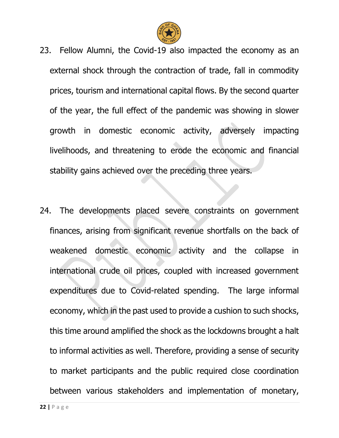

- 23. Fellow Alumni, the Covid-19 also impacted the economy as an external shock through the contraction of trade, fall in commodity prices, tourism and international capital flows. By the second quarter of the year, the full effect of the pandemic was showing in slower growth in domestic economic activity, adversely impacting livelihoods, and threatening to erode the economic and financial stability gains achieved over the preceding three years.
- 24. The developments placed severe constraints on government finances, arising from significant revenue shortfalls on the back of weakened domestic economic activity and the collapse in international crude oil prices, coupled with increased government expenditures due to Covid-related spending. The large informal economy, which in the past used to provide a cushion to such shocks, this time around amplified the shock as the lockdowns brought a halt to informal activities as well. Therefore, providing a sense of security to market participants and the public required close coordination between various stakeholders and implementation of monetary,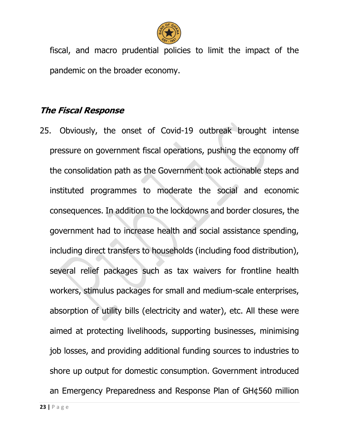

fiscal, and macro prudential policies to limit the impact of the pandemic on the broader economy.

### **The Fiscal Response**

25. Obviously, the onset of Covid-19 outbreak brought intense pressure on government fiscal operations, pushing the economy off the consolidation path as the Government took actionable steps and instituted programmes to moderate the social and economic consequences. In addition to the lockdowns and border closures, the government had to increase health and social assistance spending, including direct transfers to households (including food distribution), several relief packages such as tax waivers for frontline health workers, stimulus packages for small and medium-scale enterprises, absorption of utility bills (electricity and water), etc. All these were aimed at protecting livelihoods, supporting businesses, minimising job losses, and providing additional funding sources to industries to shore up output for domestic consumption. Government introduced an Emergency Preparedness and Response Plan of GH¢560 million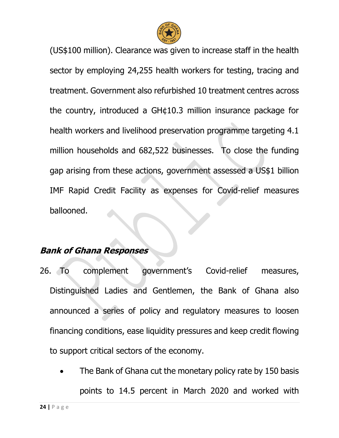

(US\$100 million). Clearance was given to increase staff in the health sector by employing 24,255 health workers for testing, tracing and treatment. Government also refurbished 10 treatment centres across the country, introduced a GH¢10.3 million insurance package for health workers and livelihood preservation programme targeting 4.1 million households and 682,522 businesses. To close the funding gap arising from these actions, government assessed a US\$1 billion IMF Rapid Credit Facility as expenses for Covid-relief measures ballooned.

#### **Bank of Ghana Responses**

- 26. To complement government's Covid-relief measures, Distinguished Ladies and Gentlemen, the Bank of Ghana also announced a series of policy and regulatory measures to loosen financing conditions, ease liquidity pressures and keep credit flowing to support critical sectors of the economy.
	- The Bank of Ghana cut the monetary policy rate by 150 basis points to 14.5 percent in March 2020 and worked with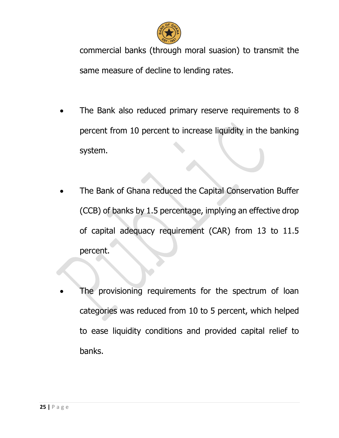

commercial banks (through moral suasion) to transmit the same measure of decline to lending rates.

- The Bank also reduced primary reserve requirements to 8 percent from 10 percent to increase liquidity in the banking system.
- The Bank of Ghana reduced the Capital Conservation Buffer (CCB) of banks by 1.5 percentage, implying an effective drop of capital adequacy requirement (CAR) from 13 to 11.5 percent.
- The provisioning requirements for the spectrum of loan categories was reduced from 10 to 5 percent, which helped to ease liquidity conditions and provided capital relief to banks.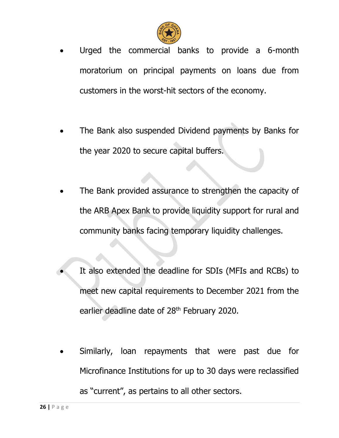

- Urged the commercial banks to provide a 6-month moratorium on principal payments on loans due from customers in the worst-hit sectors of the economy.
- The Bank also suspended Dividend payments by Banks for the year 2020 to secure capital buffers.
- The Bank provided assurance to strengthen the capacity of the ARB Apex Bank to provide liquidity support for rural and community banks facing temporary liquidity challenges.
- It also extended the deadline for SDIs (MFIs and RCBs) to meet new capital requirements to December 2021 from the earlier deadline date of 28<sup>th</sup> February 2020.
- Similarly, loan repayments that were past due for Microfinance Institutions for up to 30 days were reclassified as "current", as pertains to all other sectors.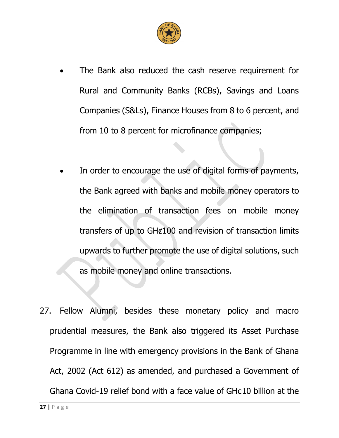

- The Bank also reduced the cash reserve requirement for Rural and Community Banks (RCBs), Savings and Loans Companies (S&Ls), Finance Houses from 8 to 6 percent, and from 10 to 8 percent for microfinance companies;
- In order to encourage the use of digital forms of payments, the Bank agreed with banks and mobile money operators to the elimination of transaction fees on mobile money transfers of up to GH¢100 and revision of transaction limits upwards to further promote the use of digital solutions, such as mobile money and online transactions.
- 27. Fellow Alumni, besides these monetary policy and macro prudential measures, the Bank also triggered its Asset Purchase Programme in line with emergency provisions in the Bank of Ghana Act, 2002 (Act 612) as amended, and purchased a Government of Ghana Covid-19 relief bond with a face value of GH¢10 billion at the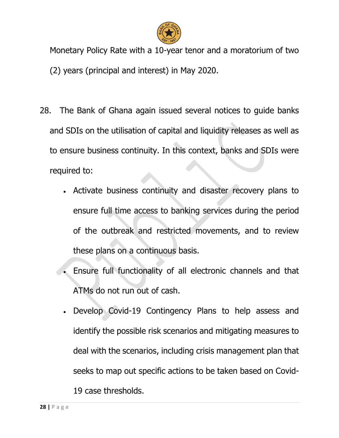

Monetary Policy Rate with a 10-year tenor and a moratorium of two (2) years (principal and interest) in May 2020.

- 28. The Bank of Ghana again issued several notices to guide banks and SDIs on the utilisation of capital and liquidity releases as well as to ensure business continuity. In this context, banks and SDIs were required to:
	- Activate business continuity and disaster recovery plans to ensure full time access to banking services during the period of the outbreak and restricted movements, and to review these plans on a continuous basis.
	- Ensure full functionality of all electronic channels and that ATMs do not run out of cash.
	- Develop Covid-19 Contingency Plans to help assess and identify the possible risk scenarios and mitigating measures to deal with the scenarios, including crisis management plan that seeks to map out specific actions to be taken based on Covid-19 case thresholds.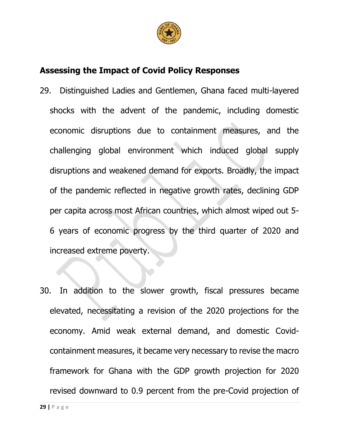

### **Assessing the Impact of Covid Policy Responses**

- 29. Distinguished Ladies and Gentlemen, Ghana faced multi-layered shocks with the advent of the pandemic, including domestic economic disruptions due to containment measures, and the challenging global environment which induced global supply disruptions and weakened demand for exports. Broadly, the impact of the pandemic reflected in negative growth rates, declining GDP per capita across most African countries, which almost wiped out 5- 6 years of economic progress by the third quarter of 2020 and increased extreme poverty.
- 30. In addition to the slower growth, fiscal pressures became elevated, necessitating a revision of the 2020 projections for the economy. Amid weak external demand, and domestic Covidcontainment measures, it became very necessary to revise the macro framework for Ghana with the GDP growth projection for 2020 revised downward to 0.9 percent from the pre-Covid projection of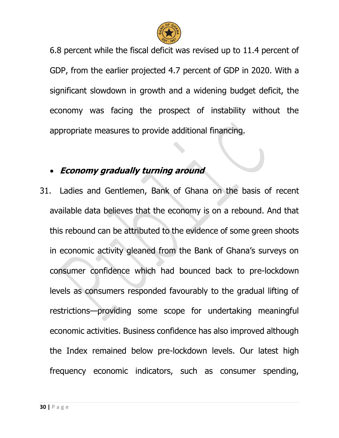

6.8 percent while the fiscal deficit was revised up to 11.4 percent of GDP, from the earlier projected 4.7 percent of GDP in 2020. With a significant slowdown in growth and a widening budget deficit, the economy was facing the prospect of instability without the appropriate measures to provide additional financing.

### **Economy gradually turning around**

31. Ladies and Gentlemen, Bank of Ghana on the basis of recent available data believes that the economy is on a rebound. And that this rebound can be attributed to the evidence of some green shoots in economic activity gleaned from the Bank of Ghana's surveys on consumer confidence which had bounced back to pre-lockdown levels as consumers responded favourably to the gradual lifting of restrictions—providing some scope for undertaking meaningful economic activities. Business confidence has also improved although the Index remained below pre-lockdown levels. Our latest high frequency economic indicators, such as consumer spending,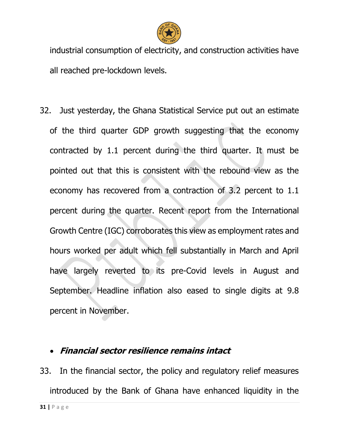

industrial consumption of electricity, and construction activities have all reached pre-lockdown levels.

32. Just yesterday, the Ghana Statistical Service put out an estimate of the third quarter GDP growth suggesting that the economy contracted by 1.1 percent during the third quarter. It must be pointed out that this is consistent with the rebound view as the economy has recovered from a contraction of 3.2 percent to 1.1 percent during the quarter. Recent report from the International Growth Centre (IGC) corroborates this view as employment rates and hours worked per adult which fell substantially in March and April have largely reverted to its pre-Covid levels in August and September. Headline inflation also eased to single digits at 9.8 percent in November.

#### **Financial sector resilience remains intact**

33. In the financial sector, the policy and regulatory relief measures introduced by the Bank of Ghana have enhanced liquidity in the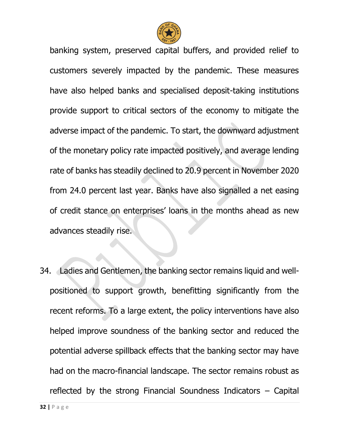

banking system, preserved capital buffers, and provided relief to customers severely impacted by the pandemic. These measures have also helped banks and specialised deposit-taking institutions provide support to critical sectors of the economy to mitigate the adverse impact of the pandemic. To start, the downward adjustment of the monetary policy rate impacted positively, and average lending rate of banks has steadily declined to 20.9 percent in November 2020 from 24.0 percent last year. Banks have also signalled a net easing of credit stance on enterprises' loans in the months ahead as new advances steadily rise.

34. Ladies and Gentlemen, the banking sector remains liquid and wellpositioned to support growth, benefitting significantly from the recent reforms. To a large extent, the policy interventions have also helped improve soundness of the banking sector and reduced the potential adverse spillback effects that the banking sector may have had on the macro-financial landscape. The sector remains robust as reflected by the strong Financial Soundness Indicators – Capital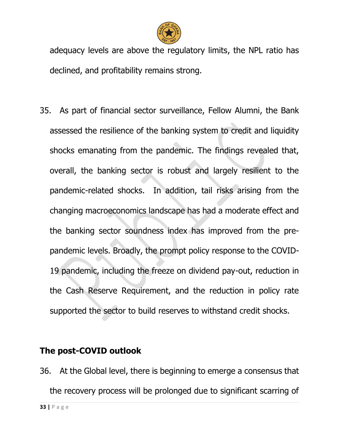

adequacy levels are above the regulatory limits, the NPL ratio has declined, and profitability remains strong.

35. As part of financial sector surveillance, Fellow Alumni, the Bank assessed the resilience of the banking system to credit and liquidity shocks emanating from the pandemic. The findings revealed that, overall, the banking sector is robust and largely resilient to the pandemic-related shocks. In addition, tail risks arising from the changing macroeconomics landscape has had a moderate effect and the banking sector soundness index has improved from the prepandemic levels. Broadly, the prompt policy response to the COVID-19 pandemic, including the freeze on dividend pay-out, reduction in the Cash Reserve Requirement, and the reduction in policy rate supported the sector to build reserves to withstand credit shocks.

#### **The post-COVID outlook**

36. At the Global level, there is beginning to emerge a consensus that the recovery process will be prolonged due to significant scarring of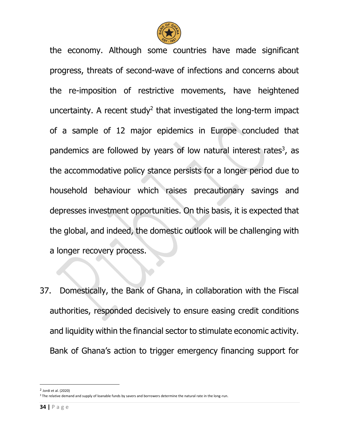

the economy. Although some countries have made significant progress, threats of second-wave of infections and concerns about the re-imposition of restrictive movements, have heightened uncertainty. A recent study<sup>2</sup> that investigated the long-term impact of a sample of 12 major epidemics in Europe concluded that pandemics are followed by years of low natural interest rates<sup>3</sup>, as the accommodative policy stance persists for a longer period due to household behaviour which raises precautionary savings and depresses investment opportunities. On this basis, it is expected that the global, and indeed, the domestic outlook will be challenging with a longer recovery process.

37. Domestically, the Bank of Ghana, in collaboration with the Fiscal authorities, responded decisively to ensure easing credit conditions and liquidity within the financial sector to stimulate economic activity. Bank of Ghana's action to trigger emergency financing support for

 $\overline{a}$ 

<sup>2</sup> Jordi et al. (2020)

<sup>&</sup>lt;sup>3</sup> The relative demand and supply of loanable funds by savers and borrowers determine the natural rate in the long-run.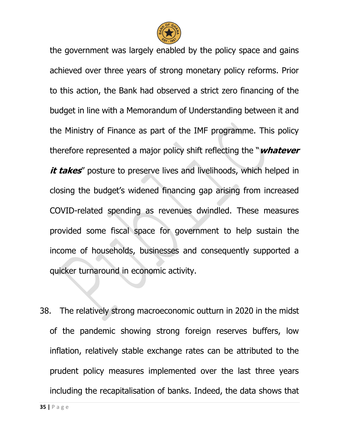

the government was largely enabled by the policy space and gains achieved over three years of strong monetary policy reforms. Prior to this action, the Bank had observed a strict zero financing of the budget in line with a Memorandum of Understanding between it and the Ministry of Finance as part of the IMF programme. This policy therefore represented a major policy shift reflecting the "**whatever**  *it takes* posture to preserve lives and livelihoods, which helped in closing the budget's widened financing gap arising from increased COVID-related spending as revenues dwindled. These measures provided some fiscal space for government to help sustain the income of households, businesses and consequently supported a quicker turnaround in economic activity.

38. The relatively strong macroeconomic outturn in 2020 in the midst of the pandemic showing strong foreign reserves buffers, low inflation, relatively stable exchange rates can be attributed to the prudent policy measures implemented over the last three years including the recapitalisation of banks. Indeed, the data shows that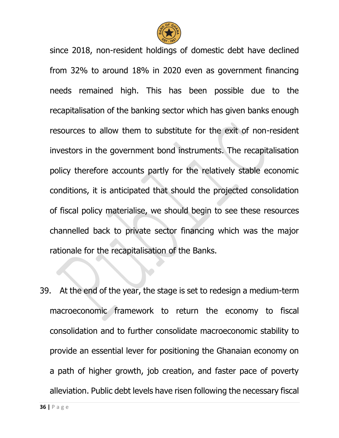

since 2018, non-resident holdings of domestic debt have declined from 32% to around 18% in 2020 even as government financing needs remained high. This has been possible due to the recapitalisation of the banking sector which has given banks enough resources to allow them to substitute for the exit of non-resident investors in the government bond instruments. The recapitalisation policy therefore accounts partly for the relatively stable economic conditions, it is anticipated that should the projected consolidation of fiscal policy materialise, we should begin to see these resources channelled back to private sector financing which was the major rationale for the recapitalisation of the Banks.

39. At the end of the year, the stage is set to redesign a medium-term macroeconomic framework to return the economy to fiscal consolidation and to further consolidate macroeconomic stability to provide an essential lever for positioning the Ghanaian economy on a path of higher growth, job creation, and faster pace of poverty alleviation. Public debt levels have risen following the necessary fiscal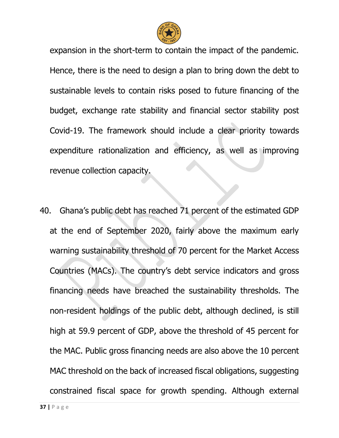

expansion in the short-term to contain the impact of the pandemic. Hence, there is the need to design a plan to bring down the debt to sustainable levels to contain risks posed to future financing of the budget, exchange rate stability and financial sector stability post Covid-19. The framework should include a clear priority towards expenditure rationalization and efficiency, as well as improving revenue collection capacity.

40. Ghana's public debt has reached 71 percent of the estimated GDP at the end of September 2020, fairly above the maximum early warning sustainability threshold of 70 percent for the Market Access Countries (MACs). The country's debt service indicators and gross financing needs have breached the sustainability thresholds. The non-resident holdings of the public debt, although declined, is still high at 59.9 percent of GDP, above the threshold of 45 percent for the MAC. Public gross financing needs are also above the 10 percent MAC threshold on the back of increased fiscal obligations, suggesting constrained fiscal space for growth spending. Although external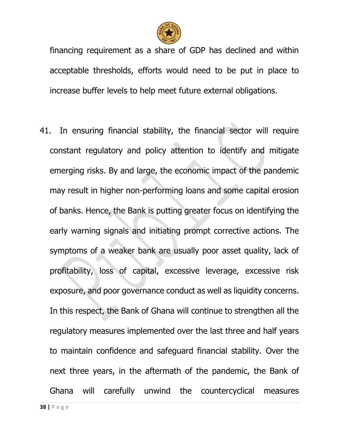

financing requirement as a share of GDP has declined and within acceptable thresholds, efforts would need to be put in place to increase buffer levels to help meet future external obligations.

41. In ensuring financial stability, the financial sector will require constant regulatory and policy attention to identify and mitigate emerging risks. By and large, the economic impact of the pandemic may result in higher non-performing loans and some capital erosion of banks. Hence, the Bank is putting greater focus on identifying the early warning signals and initiating prompt corrective actions. The symptoms of a weaker bank are usually poor asset quality, lack of profitability, loss of capital, excessive leverage, excessive risk exposure, and poor governance conduct as well as liquidity concerns. In this respect, the Bank of Ghana will continue to strengthen all the regulatory measures implemented over the last three and half years to maintain confidence and safeguard financial stability. Over the next three years, in the aftermath of the pandemic, the Bank of Ghana will carefully unwind the countercyclical measures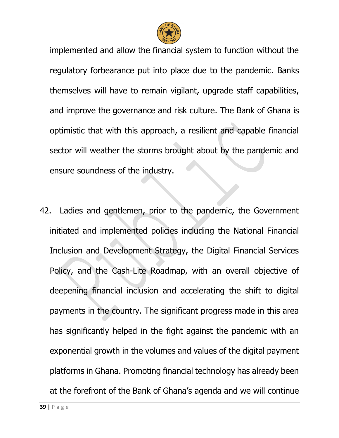

implemented and allow the financial system to function without the regulatory forbearance put into place due to the pandemic. Banks themselves will have to remain vigilant, upgrade staff capabilities, and improve the governance and risk culture. The Bank of Ghana is optimistic that with this approach, a resilient and capable financial sector will weather the storms brought about by the pandemic and ensure soundness of the industry.

42. Ladies and gentlemen, prior to the pandemic, the Government initiated and implemented policies including the National Financial Inclusion and Development Strategy, the Digital Financial Services Policy, and the Cash-Lite Roadmap, with an overall objective of deepening financial inclusion and accelerating the shift to digital payments in the country. The significant progress made in this area has significantly helped in the fight against the pandemic with an exponential growth in the volumes and values of the digital payment platforms in Ghana. Promoting financial technology has already been at the forefront of the Bank of Ghana's agenda and we will continue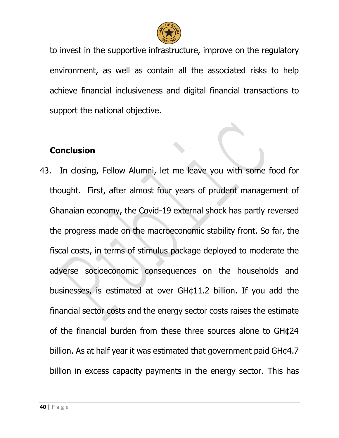

to invest in the supportive infrastructure, improve on the regulatory environment, as well as contain all the associated risks to help achieve financial inclusiveness and digital financial transactions to support the national objective.

### **Conclusion**

43. In closing, Fellow Alumni, let me leave you with some food for thought. First, after almost four years of prudent management of Ghanaian economy, the Covid-19 external shock has partly reversed the progress made on the macroeconomic stability front. So far, the fiscal costs, in terms of stimulus package deployed to moderate the adverse socioeconomic consequences on the households and businesses, is estimated at over GH¢11.2 billion. If you add the financial sector costs and the energy sector costs raises the estimate of the financial burden from these three sources alone to GH¢24 billion. As at half year it was estimated that government paid GH¢4.7 billion in excess capacity payments in the energy sector. This has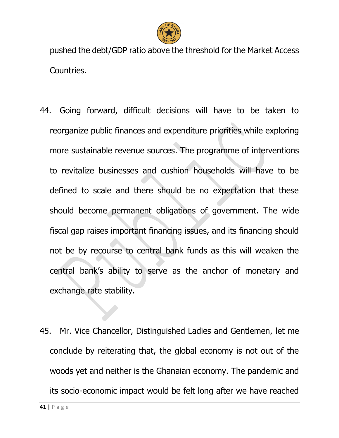

pushed the debt/GDP ratio above the threshold for the Market Access Countries.

- 44. Going forward, difficult decisions will have to be taken to reorganize public finances and expenditure priorities while exploring more sustainable revenue sources. The programme of interventions to revitalize businesses and cushion households will have to be defined to scale and there should be no expectation that these should become permanent obligations of government. The wide fiscal gap raises important financing issues, and its financing should not be by recourse to central bank funds as this will weaken the central bank's ability to serve as the anchor of monetary and exchange rate stability.
- 45. Mr. Vice Chancellor, Distinguished Ladies and Gentlemen, let me conclude by reiterating that, the global economy is not out of the woods yet and neither is the Ghanaian economy. The pandemic and its socio-economic impact would be felt long after we have reached